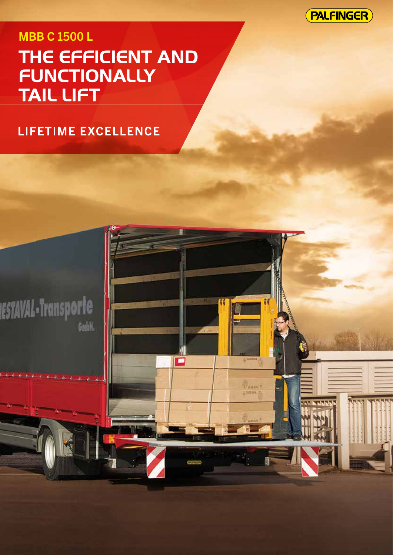**PALFINGER** 

# **MBB C 1500 L** THE EFFICIENT AND FUNCTIONALLY **TAIL LIFT**

Õ

## LIFETIME EXCELLENCE